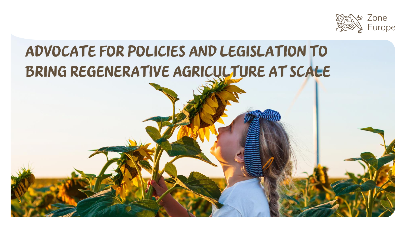

# ADVOCATE FOR POLICIES AND LEGISLATION TO BRING REGENERATIVE AGRICULTURE AT SCALE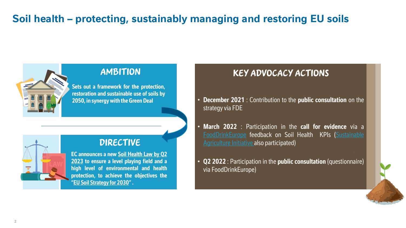# **Soil health – protecting, sustainably managing and restoring EU soils**



**Sets out a framework for the protection, restoration and sustainable use of soils by 2050, in synergy with the Green Deal**

### DIRECTIVE

**EC announces a new Soil Health Law by Q2 2023 to ensure a level playing field and a high level of environmental and health protection, to achieve the objectives the "EU Soil [Strategy](https://ec.europa.eu/environment/publications/eu-soil-strategy-2030_fr) for 2030".**

## AMBITION KEY ADVOCACY ACTIONS

- **December 2021** : Contribution to the **public consultation** on the strategy via FDE
- **March 2022** : Participation in the **call for evidence** via a [FoodDrinkEurope](https://ec.europa.eu/info/law/better-regulation/have-your-say/initiatives/13350-Soil-health-protecting-sustainably-managing-and-restoring-EU-soils/details/F2927720_en) feedback on Soil Health KPIs (Sustainable Agriculture Initiative also participated)
- **Q2 2022** : Participation in the **public consultation** (questionnaire) via FoodDrinkEurope)